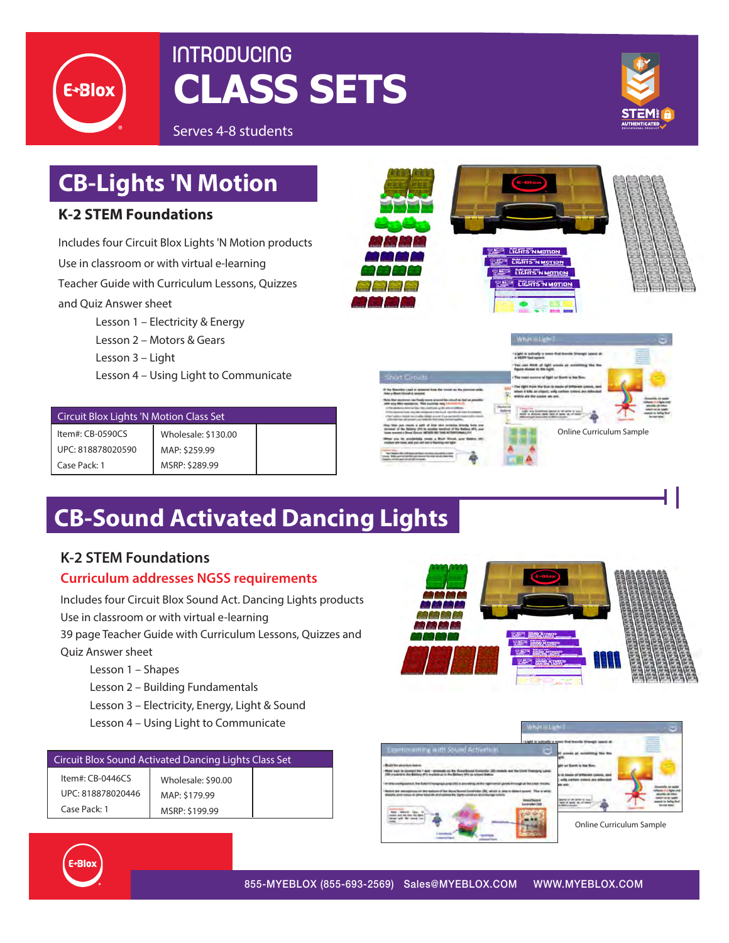

# **INTRODUCING CLASS SETS**



Serves 4-8 students

# **CB-Lights 'N Motion K-2 STEM Foundations**

Includes four Circuit Blox Lights 'N Motion products Use in classroom or with virtual e-learning Teacher Guide with Curriculum Lessons, Quizzes and Quiz Answer sheet

Lesson 1 – Electricity & Energy Lesson 2 – Motors & Gears Lesson 3 – Light Lesson 4 – Using Light to Communicate

| Circuit Blox Lights 'N Motion Class Set |                     |  |  |
|-----------------------------------------|---------------------|--|--|
| Item#: CB-0590CS                        | Wholesale: \$130.00 |  |  |
| UPC: 818878020590                       | MAP: \$259.99       |  |  |
| Case Pack: 1                            | MSRP: \$289.99      |  |  |







| <b>Shurt Circuit</b>                                                                                                                                                                                                                                                                                                                                                                                                       |  |
|----------------------------------------------------------------------------------------------------------------------------------------------------------------------------------------------------------------------------------------------------------------------------------------------------------------------------------------------------------------------------------------------------------------------------|--|
| If the Risentifick Land & senate<br>L. Box 10-months and AL<br>--<br><b>Ross or Mount Concord &amp; company's</b>                                                                                                                                                                                                                                                                                                          |  |
| Note that president case fundy were account his concell as had as on<br>setti sury titles resonance. This customer has not<br>4 1776 declares allowed the 19th methods of the alternations.<br>17 N.L. (designational), thru 4400 militaire au a-feat aircraft, base Bolt and August Art<br>I feel takes today that the ballis shirty! yours if you accor-<br>chiestal has all already our behinds feel hims device backed |  |
| broked of the fightery (III) to souther turningly<br><b>Kin Sallace IFR</b> and<br>have constraint a Wood Electric                                                                                                                                                                                                                                                                                                         |  |
| When you be availabled yours a Start Struck and Bedrop<br>motion city mean and pair will peo is fluinting workpot                                                                                                                                                                                                                                                                                                          |  |
| an extent part with editorium.                                                                                                                                                                                                                                                                                                                                                                                             |  |



# **CB-Sound Activated Dancing Lights**

### **K-2 STEM Foundations**

### **Curriculum addresses NGSS requirements**

Includes four Circuit Blox Sound Act. Dancing Lights products Use in classroom or with virtual e-learning

39 page Teacher Guide with Curriculum Lessons, Quizzes and Quiz Answer sheet

- Lesson 1 Shapes
- Lesson 2 Building Fundamentals
- Lesson 3 Electricity, Energy, Light & Sound
- Lesson 4 Using Light to Communicate

| Circuit Blox Sound Activated Dancing Lights Class Set |                    |  |
|-------------------------------------------------------|--------------------|--|
| Item#: CB-0446CS                                      | Wholesale: \$90.00 |  |
| UPC: 818878020446                                     | MAP: \$179.99      |  |
| Case Pack: 1                                          | MSRP: \$199.99     |  |







Online Curriculum Sample

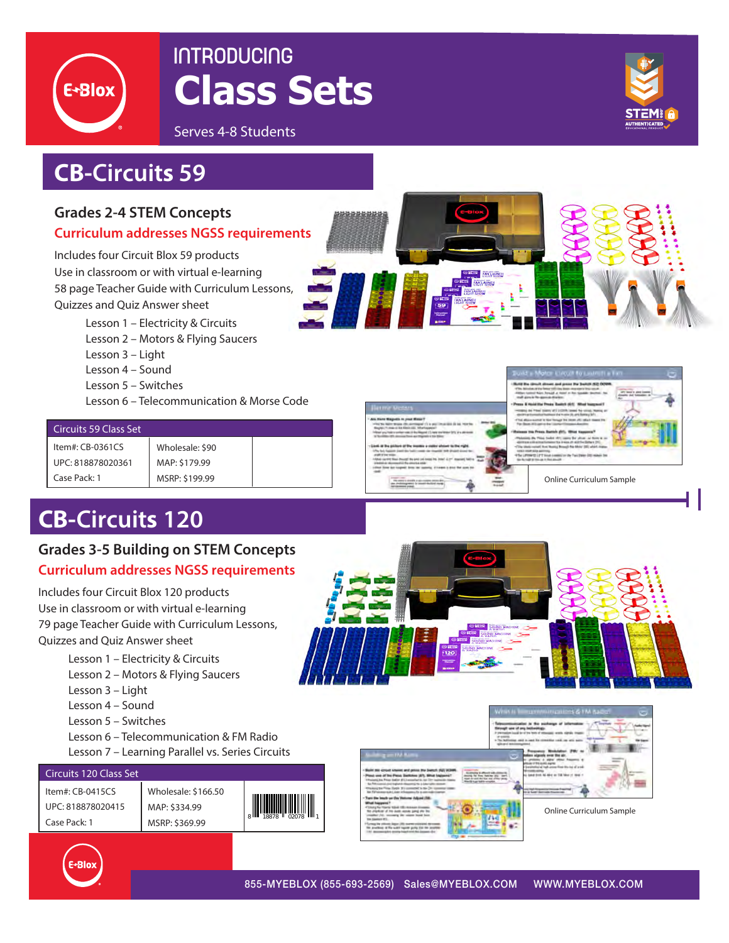

# **INTRODUCING Class Sets**

Serves 4-8 Students

## **CB-Circuits 59**

### **Grades 2-4 STEM Concepts**

#### **Curriculum addresses NGSS requirements**

Includes four Circuit Blox 59 products Use in classroom or with virtual e-learning 58 page Teacher Guide with Curriculum Lessons, Quizzes and Quiz Answer sheet

Lesson 1 – Electricity & Circuits

- Lesson 2 Motors & Flying Saucers
- Lesson 3 Light
- Lesson 4 Sound
- Lesson 5 Switches
- Lesson 6 Telecommunication & Morse Code

| <b>Circuits 59 Class Set</b> |                 |  |  |
|------------------------------|-----------------|--|--|
| Item#: $CB-0361CS$           | Wholesale: \$90 |  |  |
| UPC: 818878020361            | MAP: \$179.99   |  |  |
| Case Pack: 1                 | MSRP: \$199.99  |  |  |

## **CB-Circuits 120**

### **Grades 3-5 Building on STEM Concepts Curriculum addresses NGSS requirements**

Includes four Circuit Blox 120 products Use in classroom or with virtual e-learning 79 page Teacher Guide with Curriculum Lessons, Quizzes and Quiz Answer sheet

- Lesson 1 Electricity & Circuits
- Lesson 2 Motors & Flying Saucers
- Lesson 3 Light
- Lesson 4 Sound
- Lesson 5 Switches
- Lesson 6 Telecommunication & FM Radio
- Lesson 7 Learning Parallel vs. Series Circuits

#### Circuits 120 Class Set

Item#: CB-0415CS UPC: 818878020415 Case Pack: 1

Wholesale: \$166.50 MAP: \$334.99 MSRP: \$369.99







Online Curriculum Sample

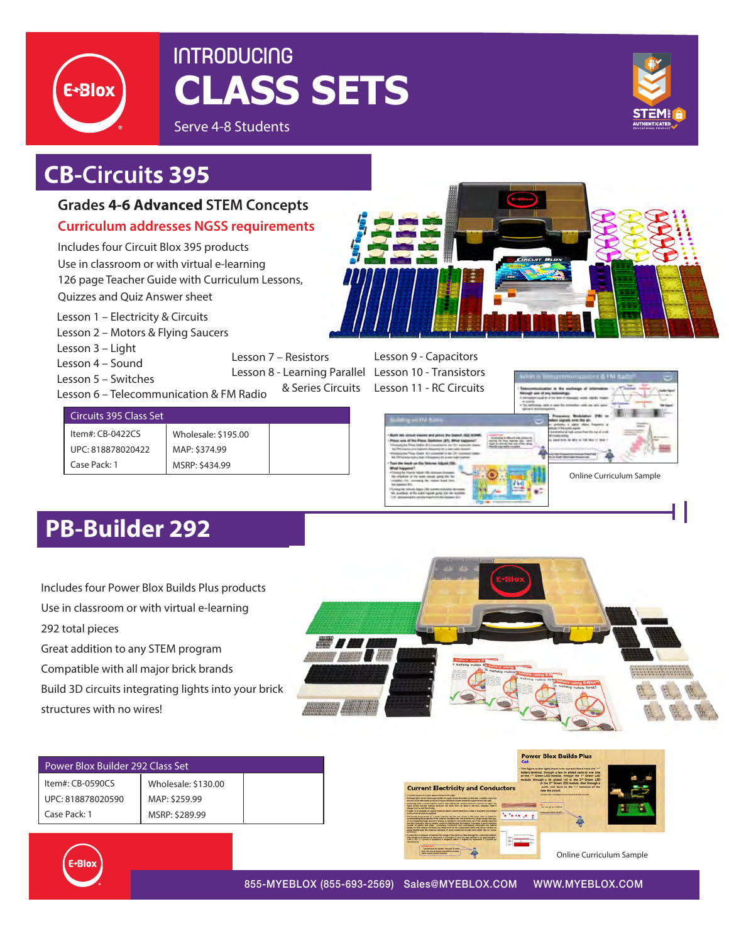

# **INTRODUCING CLASS SETS**





## **CB-Circuits 395**

### **Grades 4-6 Advanced STEM Concepts**

**Curriculum addresses NGSS requirements**

Includes four Circuit Blox 395 products Use in classroom or with virtual e-learning 126 page Teacher Guide with Curriculum Lessons, Quizzes and Quiz Answer sheet

- Lesson 1 Electricity & Circuits
- Lesson 2 Motors & Flying Saucers
- Lesson 3 Light
- Lesson 4 Sound

Lesson 5 – Switches

Lesson 6 – Telecommunication & FM Radio

Lesson 7 – Resistors Lesson 8 - Learning Parallel Lesson 10 - Transistors & Series Circuits

Lesson 9 - Capacitors Lesson 11 - RC Circuits

#### Circuits 395 Class Set

Item#: CB-0422CS UPC: 818878020422 Case Pack: 1

Wholesale: \$195.00 MAP: \$374.99 MSRP: \$434.99



Online Curriculum Sample

## **PB-Builder 292**

Includes four Power Blox Builds Plus products Use in classroom or with virtual e-learning 292 total pieces

Great addition to any STEM program

Compatible with all major brick brands

Build 3D circuits integrating lights into your brick

structures with no wires!



| Power Blox Builder 292 Class Set                      |                                                        |                            | <b>Power Blox Builds Plus</b><br>Cat<br>- The figure to the right shows how current flows from the "+"<br>buttery terminal, through a few tin plated parts to one side                                                                                                                                                                                                                                                                                                                                                                                                                                                                                                                                                                                                                                                                                                                                                                                                                                                                                                                                                                                                                                                                                                                                                                                                                                                                                                                                                                                                                          |
|-------------------------------------------------------|--------------------------------------------------------|----------------------------|-------------------------------------------------------------------------------------------------------------------------------------------------------------------------------------------------------------------------------------------------------------------------------------------------------------------------------------------------------------------------------------------------------------------------------------------------------------------------------------------------------------------------------------------------------------------------------------------------------------------------------------------------------------------------------------------------------------------------------------------------------------------------------------------------------------------------------------------------------------------------------------------------------------------------------------------------------------------------------------------------------------------------------------------------------------------------------------------------------------------------------------------------------------------------------------------------------------------------------------------------------------------------------------------------------------------------------------------------------------------------------------------------------------------------------------------------------------------------------------------------------------------------------------------------------------------------------------------------|
| Item#: CB-0590CS<br>UPC: 818878020590<br>Case Pack: 1 | Wholesale: \$130.00<br>MAP: \$259.99<br>MSRP: \$289.99 |                            | of the 1" Green LED module, through the 1" Green LED<br>module, through a tin plated fx2 to the 2 <sup>-1</sup> Green LED-<br>A the 2 <sup>cd</sup> Green LED module, then through a<br><b>Current Electricity and Conductors</b><br>parts and back to the "-" terminal of the<br>lete the circuit<br>Green LED modules are in surveys: this circuit.<br>because of course with an abdust to the re-<br>agh Barry and an entertainment market of company absented but makes an Wik series, iconsider a very time<br>to of the west replaces of our former diseases them between your form of the country of the right<br>parting their is loins valental scores that painter for valence visitings from left to right. Has<br>board strong how the natural students had force from our store to the rest, condition a firm<br>the set go to medical<br>parantha Corporation International<br><b><i><u>Internet a first all RT</u></i></b><br>Zaraka jaliar<br>The seasons based around the a second countries that the cost officials of the timest crafts, in factorial in<br>Britishers for sculpture of the customs, financially are characterized by a brat excess bank and<br>of an exchanged long about of party. A resident formula planned out of the science hand and<br>into the construction function exceller current in front through the momental Excellence of good insulations<br>Louis, as the velocul abolicies (as both tour is the computational land, and lance current).<br>rents that through the statement contracts of good conduction monet materials the fire compa- |
| E-Blox                                                |                                                        |                            | unted 15 is a research of transfer the charge of the electron than through the conductive numbered.<br>www.communication.com<br>The charge of as short-too is measured to Counterline (C) and has been detined to be approximately<br>LAKE & RET C. Control is transport to Amperic's about 7 August 141 Hollands 1 Counsel per<br><b>Earthet auch the sames! Territory &amp; comes.</b><br><b>Rock that is such advised interested for Counter</b><br>Online Curriculum Sample<br>which makes framed speech                                                                                                                                                                                                                                                                                                                                                                                                                                                                                                                                                                                                                                                                                                                                                                                                                                                                                                                                                                                                                                                                                    |
|                                                       |                                                        | 855-MYEBLOX (855-693-2569) | WWW.MYEBLOX.COM<br>Sales@MYEBLOX.COM                                                                                                                                                                                                                                                                                                                                                                                                                                                                                                                                                                                                                                                                                                                                                                                                                                                                                                                                                                                                                                                                                                                                                                                                                                                                                                                                                                                                                                                                                                                                                            |